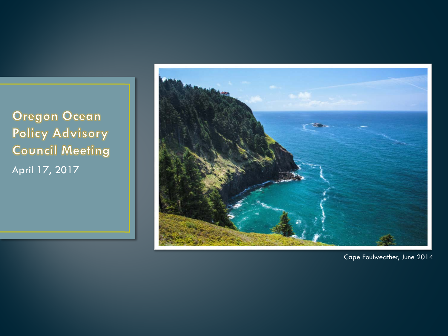**Oregon Ocean** Policy Advisory **Council Meeting** April 17, 2017



Cape Foulweather, June 2014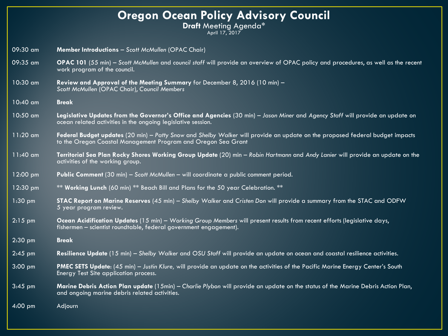### **Oregon Ocean Policy Advisory Council**

**Draft** Meeting Agenda\*

April 17, 2017

| 09:30 am           | Member Introductions - Scott McMullen (OPAC Chair)                                                                                                                                            |  |  |
|--------------------|-----------------------------------------------------------------------------------------------------------------------------------------------------------------------------------------------|--|--|
| 09:35 am           | OPAC 101 (55 min) – Scott McMullen and council staff will provide an overview of OPAC policy and procedures, as well as the recent<br>work program of the council.                            |  |  |
| 10:30 am           | Review and Approval of the Meeting Summary for December 8, 2016 (10 min) -<br>Scott McMullen (OPAC Chair), Council Members                                                                    |  |  |
| 10:40 am           | <b>Break</b>                                                                                                                                                                                  |  |  |
| 10:50 am           | Legislative Updates from the Governor's Office and Agencies (30 min) - Jason Miner and Agency Staff will provide an update on<br>ocean related activities in the ongoing legislative session. |  |  |
| $11:20$ am         | Federal Budget updates (20 min) - Patty Snow and Shelby Walker will provide an update on the proposed federal budget impacts<br>to the Oregon Coastal Management Program and Oregon Sea Grant |  |  |
| 11:40 am           | Territorial Sea Plan Rocky Shores Working Group Update (20) min - Robin Hartmann and Andy Lanier will provide an update on the<br>activities of the working group.                            |  |  |
| $12:00$ pm         | Public Comment (30 min) - Scott McMullen - will coordinate a public comment period.                                                                                                           |  |  |
| $12:30 \text{ pm}$ | ** Working Lunch (60 min) ** Beach Bill and Plans for the 50 year Celebration. **                                                                                                             |  |  |
| $1:30$ pm          | STAC Report on Marine Reserves (45 min) - Shelby Walker and Cristen Don will provide a summary from the STAC and ODFW<br>5 year program review.                                               |  |  |
| $2:15$ pm          | Ocean Acidification Updates (15 min) - Working Group Members will present results from recent efforts (legislative days,<br>fishermen – scientist roundtable, federal government engagement). |  |  |
| $2:30$ pm          | <b>Break</b>                                                                                                                                                                                  |  |  |
| $2:45$ pm          | Resilience Update (15 min) - Shelby Walker and OSU Staff will provide an update on ocean and coastal resilience activities.                                                                   |  |  |
| $3:00$ pm          | PMEC SETS Update: (45 min) - Justin Klure, will provide an update on the activities of the Pacific Marine Energy Center's South<br>Energy Test Site application process.                      |  |  |
| $3:45$ pm          | Marine Debris Action Plan update (15min) - Charlie Plybon will provide an update on the status of the Marine Debris Action Plan,<br>and ongoing marine debris related activities.             |  |  |
| 4:00 pm            | Adjourn                                                                                                                                                                                       |  |  |
|                    |                                                                                                                                                                                               |  |  |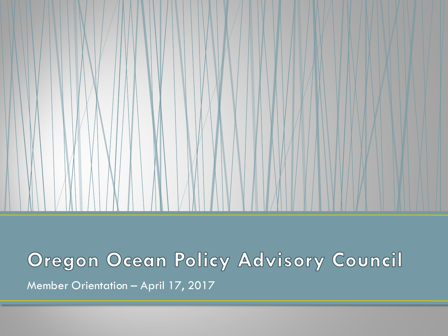

# Oregon Ocean Policy Advisory Council Member Orientation – April 17, 2017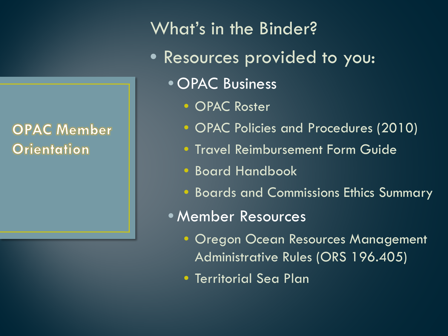**OPAC Member** Orientation

What's in the Binder?

- Resources provided to you:
	- OPAC Business
		- OPAC Roster
		- OPAC Policies and Procedures (2010)
		- Travel Reimbursement Form Guide
		- Board Handbook
		- Boards and Commissions Ethics Summary
	- Member Resources
		- Oregon Ocean Resources Management Administrative Rules (ORS 196.405)
		- Territorial Sea Plan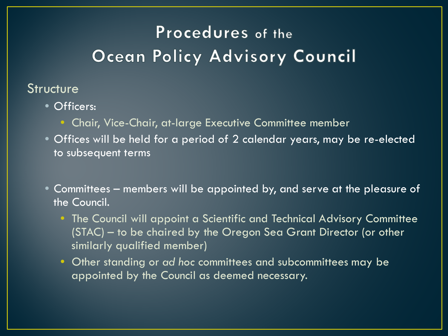### **Structure**

- Officers:
	- Chair, Vice-Chair, at-large Executive Committee member
- Offices will be held for a period of 2 calendar years, may be re-elected to subsequent terms
- Committees members will be appointed by, and serve at the pleasure of the Council.
	- The Council will appoint a Scientific and Technical Advisory Committee (STAC) – to be chaired by the Oregon Sea Grant Director (or other similarly qualified member)
	- Other standing or *ad hoc* committees and subcommittees may be appointed by the Council as deemed necessary.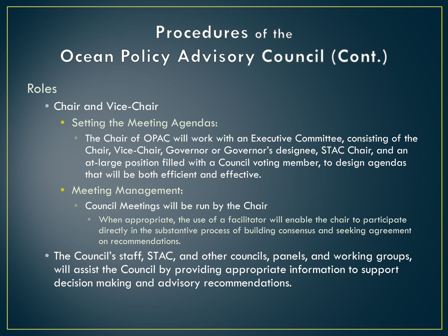### Roles

- Chair and Vice-Chair
	- Setting the Meeting Agendas:
		- The Chair of OPAC will work with an Executive Committee, consisting of the Chair, Vice-Chair, Governor or Governor's designee, STAC Chair, and an at-large position filled with a Council voting member, to design agendas that will be both efficient and effective.
	- Meeting Management:
		- Council Meetings will be run by the Chair
			- When appropriate, the use of a facilitator will enable the chair to participate directly in the substantive process of building consensus and seeking agreement on recommendations.
- The Council's staff, STAC, and other councils, panels, and working groups, will assist the Council by providing appropriate information to support decision making and advisory recommendations.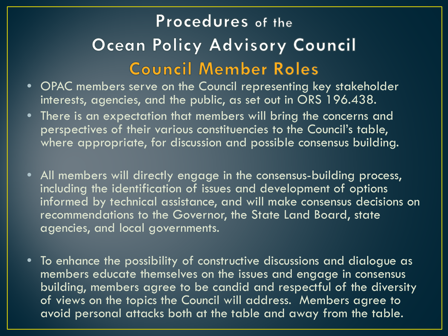# Procedures of the Ocean Policy Advisory Council **Council Member Roles**

- OPAC members serve on the Council representing key stakeholder interests, agencies, and the public, as set out in ORS 196.438.
- There is an expectation that members will bring the concerns and perspectives of their various constituencies to the Council's table, where appropriate, for discussion and possible consensus building.
- All members will directly engage in the consensus-building process, including the identification of issues and development of options informed by technical assistance, and will make consensus decisions on recommendations to the Governor, the State Land Board, state agencies, and local governments.
- To enhance the possibility of constructive discussions and dialogue as members educate themselves on the issues and engage in consensus building, members agree to be candid and respectful of the diversity of views on the topics the Council will address. Members agree to avoid personal attacks both at the table and away from the table.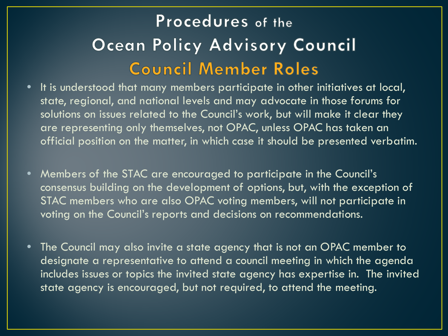# Procedures of the Ocean Policy Advisory Council **Council Member Roles**

- It is understood that many members participate in other initiatives at local, state, regional, and national levels and may advocate in those forums for solutions on issues related to the Council's work, but will make it clear they are representing only themselves, not OPAC, unless OPAC has taken an official position on the matter, in which case it should be presented verbatim.
- Members of the STAC are encouraged to participate in the Council's consensus building on the development of options, but, with the exception of STAC members who are also OPAC voting members, will not participate in voting on the Council's reports and decisions on recommendations.
- The Council may also invite a state agency that is not an OPAC member to designate a representative to attend a council meeting in which the agenda includes issues or topics the invited state agency has expertise in. The invited state agency is encouraged, but not required, to attend the meeting.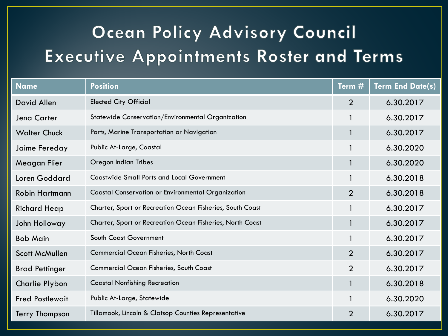# Ocean Policy Advisory Council Executive Appointments Roster and Terms

| <b>Name</b>            | <b>Position</b>                                           | Term $#_1$     | <b>Term End Date(s)</b> |
|------------------------|-----------------------------------------------------------|----------------|-------------------------|
| David Allen            | <b>Elected City Official</b>                              | $\overline{2}$ | 6.30.2017               |
| Jena Carter            | Statewide Conservation/Environmental Organization         |                | 6.30.2017               |
| <b>Walter Chuck</b>    | Ports, Marine Transportation or Navigation                | $\mathbf{1}$   | 6.30.2017               |
| Jaime Fereday          | Public At-Large, Coastal                                  | $\mathbf{1}$   | 6.30.2020               |
| Meagan Flier           | Oregon Indian Tribes                                      |                | 6.30.2020               |
| Loren Goddard          | <b>Coastwide Small Ports and Local Government</b>         | $\mathbf{1}$   | 6.30.2018               |
| <b>Robin Hartmann</b>  | <b>Coastal Conservation or Environmental Organization</b> | $\overline{2}$ | 6.30.2018               |
| <b>Richard Heap</b>    | Charter, Sport or Recreation Ocean Fisheries, South Coast |                | 6.30.2017               |
| John Holloway          | Charter, Sport or Recreation Ocean Fisheries, North Coast | $\mathbf{1}$   | 6.30.2017               |
| <b>Bob Main</b>        | South Coast Government                                    | 1              | 6.30.2017               |
| <b>Scott McMullen</b>  | <b>Commercial Ocean Fisheries, North Coast</b>            | $\overline{2}$ | 6.30.2017               |
| <b>Brad Pettinger</b>  | <b>Commercial Ocean Fisheries, South Coast</b>            | $\overline{2}$ | 6.30.2017               |
| Charlie Plybon         | <b>Coastal Nonfishing Recreation</b>                      | $\mathbf{1}$   | 6.30.2018               |
| <b>Fred Postlewait</b> | Public At-Large, Statewide                                |                | 6.30.2020               |
| Terry Thompson         | Tillamook, Lincoln & Clatsop Counties Representative      | $\overline{2}$ | 6.30.2017               |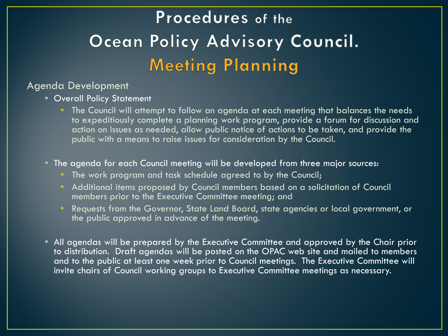# Procedures of the Ocean Policy Advisory Council. **Meeting Planning**

#### Agenda Development

- Overall Policy Statement
	- The Council will attempt to follow an agenda at each meeting that balances the needs to expeditiously complete a planning work program, provide a forum for discussion and action on issues as needed, allow public notice of actions to be taken, and provide the public with a means to raise issues for consideration by the Council.
- The agenda for each Council meeting will be developed from three major sources:
	- The work program and task schedule agreed to by the Council;
	- Additional items proposed by Council members based on a solicitation of Council members prior to the Executive Committee meeting; and
	- Requests from the Governor, State Land Board, state agencies or local government, or the public approved in advance of the meeting.
- All agendas will be prepared by the Executive Committee and approved by the Chair prior to distribution. Draft agendas will be posted on the OPAC web site and mailed to members and to the public at least one week prior to Council meetings. The Executive Committee will invite chairs of Council working groups to Executive Committee meetings as necessary.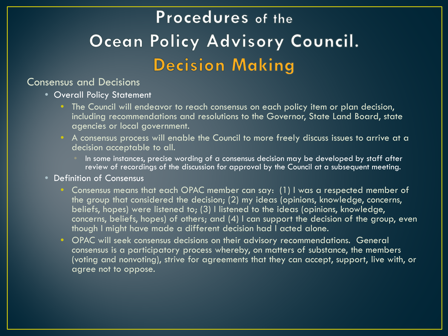# Procedures of the Ocean Policy Advisory Council. **Decision Making**

#### Consensus and Decisions

- Overall Policy Statement
	- The Council will endeavor to reach consensus on each policy item or plan decision, including recommendations and resolutions to the Governor, State Land Board, state agencies or local government.
	- A consensus process will enable the Council to more freely discuss issues to arrive at a decision acceptable to all.
		- In some instances, precise wording of a consensus decision may be developed by staff after review of recordings of the discussion for approval by the Council at a subsequent meeting.
- Definition of Consensus
	- Consensus means that each OPAC member can say: (1) I was a respected member of the group that considered the decision; (2) my ideas (opinions, knowledge, concerns, beliefs, hopes) were listened to; (3) I listened to the ideas (opinions, knowledge, concerns, beliefs, hopes) of others; and (4) I can support the decision of the group, even though I might have made a different decision had I acted alone.
	- OPAC will seek consensus decisions on their advisory recommendations. General consensus is a participatory process whereby, on matters of substance, the members (voting and nonvoting), strive for agreements that they can accept, support, live with, or agree not to oppose.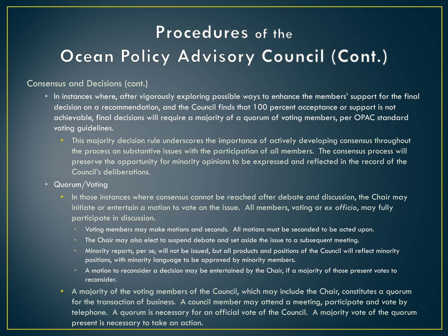#### Consensus and Decisions (cont.)

- In instances where, after vigorously exploring possible ways to enhance the members' support for the final decision on a recommendation, and the Council finds that 100 percent acceptance or support is not achievable, final decisions will require a majority of a quorum of voting members, per OPAC standard voting guidelines.
	- This majority decision rule underscores the importance of actively developing consensus throughout the process on substantive issues with the participation of all members. The consensus process will preserve the opportunity for minority opinions to be expressed and reflected in the record of the Council's deliberations.
- Quorum/Voting
	- In those instances where consensus cannot be reached after debate and discussion, the Chair may initiate or entertain a motion to vote on the issue. All members, voting or *ex officio*, may fully participate in discussion.
		- Voting members may make motions and seconds. All motions must be seconded to be acted upon.
		- The Chair may also elect to suspend debate and set aside the issue to a subsequent meeting.
		- Minority reports, per se, will not be issued, but all products and positions of the Council will reflect minority positions, with minority language to be approved by minority members.
		- A motion to reconsider a decision may be entertained by the Chair, if a majority of those present votes to reconsider.
	- A majority of the voting members of the Council, which may include the Chair, constitutes a quorum for the transaction of business. A council member may attend a meeting, participate and vote by telephone. A quorum is necessary for an official vote of the Council. A majority vote of the quorum present is necessary to take an action.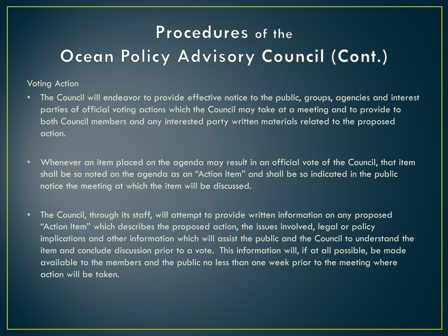#### Voting Action

- The Council will endeavor to provide effective notice to the public, groups, agencies and interest parties of official voting actions which the Council may take at a meeting and to provide to both Council members and any interested party written materials related to the proposed action.
- Whenever an item placed on the agenda may result in an official vote of the Council, that item shall be so noted on the agenda as an "Action Item" and shall be so indicated in the public notice the meeting at which the item will be discussed.
- The Council, through its staff, will attempt to provide written information on any proposed "Action Item" which describes the proposed action, the issues involved, legal or policy implications and other information which will assist the public and the Council to understand the item and conclude discussion prior to a vote. This information will, if at all possible, be made available to the members and the public no less than one week prior to the meeting where action will be taken.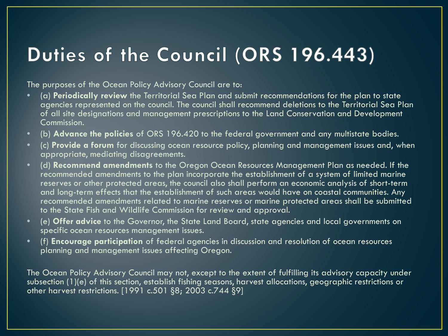### Duties of the Council (ORS 196.443)

The purposes of the Ocean Policy Advisory Council are to:

- (a) **Periodically review** the Territorial Sea Plan and submit recommendations for the plan to state agencies represented on the council. The council shall recommend deletions to the Territorial Sea Plan of all site designations and management prescriptions to the Land Conservation and Development Commission.
- (b) **Advance the policies** of ORS 196.420 to the federal government and any multistate bodies.
- (c) **Provide a forum** for discussing ocean resource policy, planning and management issues and, when appropriate, mediating disagreements.
- (d) **Recommend amendments** to the Oregon Ocean Resources Management Plan as needed. If the recommended amendments to the plan incorporate the establishment of a system of limited marine reserves or other protected areas, the council also shall perform an economic analysis of short-term and long-term effects that the establishment of such areas would have on coastal communities. Any recommended amendments related to marine reserves or marine protected areas shall be submitted to the State Fish and Wildlife Commission for review and approval.
- (e) **Offer advice** to the Governor, the State Land Board, state agencies and local governments on specific ocean resources management issues.
- (f) **Encourage participation** of federal agencies in discussion and resolution of ocean resources planning and management issues affecting Oregon.

The Ocean Policy Advisory Council may not, except to the extent of fulfilling its advisory capacity under subsection (1)(e) of this section, establish fishing seasons, harvest allocations, geographic restrictions or other harvest restrictions. [1991 c.501 §8; 2003 c.744 §9]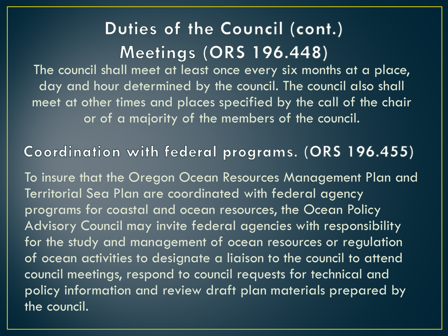## Duties of the Council (cont.) **Meetings (ORS 196.448)**

The council shall meet at least once every six months at a place, day and hour determined by the council. The council also shall meet at other times and places specified by the call of the chair or of a majority of the members of the council.

Coordination with federal programs. (ORS 196.455)

To insure that the Oregon Ocean Resources Management Plan and Territorial Sea Plan are coordinated with federal agency programs for coastal and ocean resources, the Ocean Policy Advisory Council may invite federal agencies with responsibility for the study and management of ocean resources or regulation of ocean activities to designate a liaison to the council to attend council meetings, respond to council requests for technical and policy information and review draft plan materials prepared by the council.